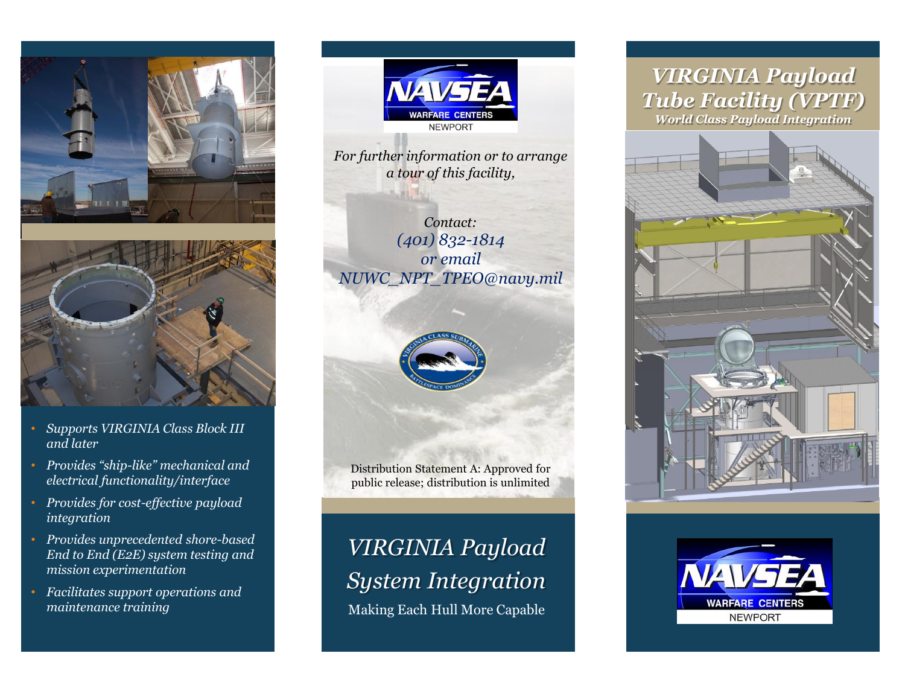



- *Supports VIRGINIA Class Block III and later*
- *Provides "ship-like" mechanical and electrical functionality/interface*
- *Provides for cost-effective payload integration*
- *Provides unprecedented shore-based End to End (E2E) system testing and mission experimentation*
- *Facilitates support operations and maintenance training*



*For further information or to arrange a tour of this facility,*

*Contact: (401) 832-1814 or email NUWC\_NPT\_TPEO@navy.mil*



Distribution Statement A: Approved for public release; distribution is unlimited

# *VIRGINIA Payload System Integration*

Making Each Hull More Capable

# *VIRGINIA Payload Tube Facility (VPTF)*

*World Class Payload Integration*